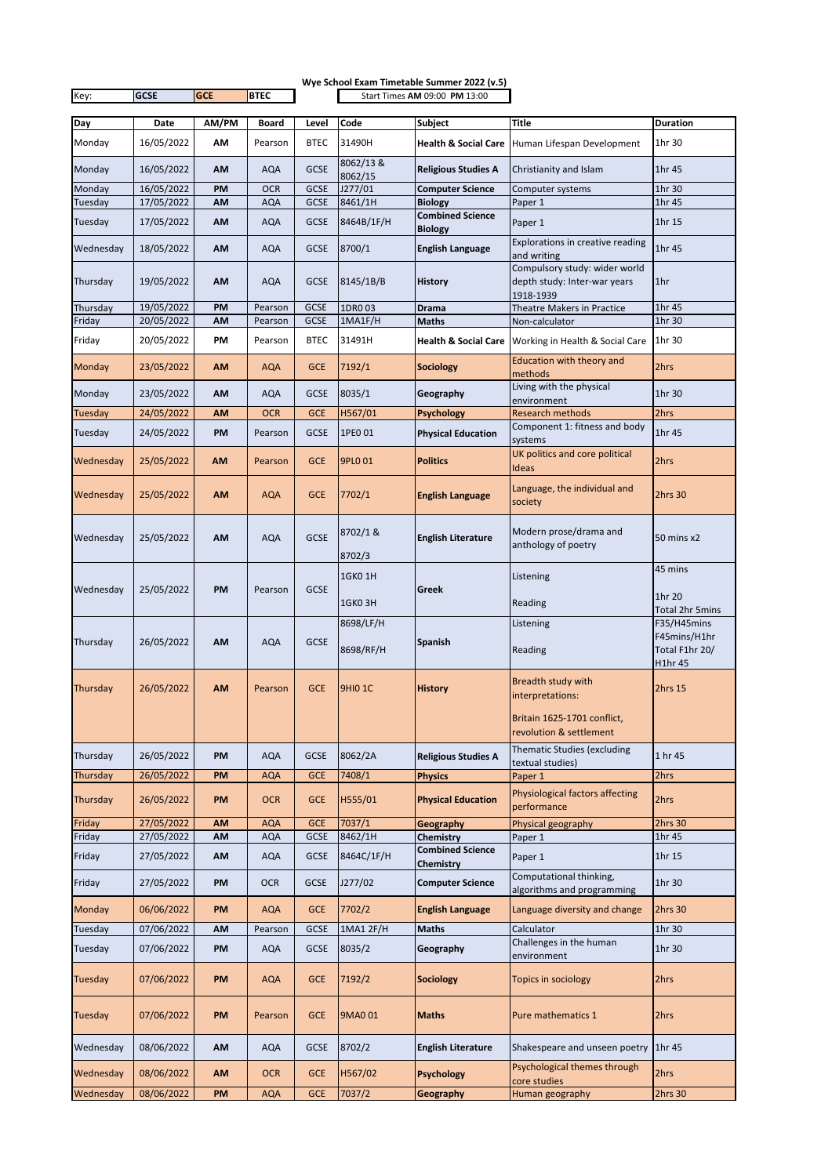|                |             |            |             |                               |                        | Wye School Exam Timetable Summer 2022 (v.5) |                                                                            |                                               |
|----------------|-------------|------------|-------------|-------------------------------|------------------------|---------------------------------------------|----------------------------------------------------------------------------|-----------------------------------------------|
| Key:           | <b>GCSE</b> | <b>GCE</b> | <b>BTEC</b> | Start Times AM 09:00 PM 13:00 |                        |                                             |                                                                            |                                               |
| Day            | Date        | AM/PM      | Board       | Level                         | Code                   | <b>Subject</b>                              | Title                                                                      | <b>Duration</b>                               |
| Monday         | 16/05/2022  | AM         | Pearson     | <b>BTEC</b>                   | 31490H                 | <b>Health &amp; Social Care</b>             | Human Lifespan Development                                                 | 1hr 30                                        |
| Monday         | 16/05/2022  | AM         | <b>AQA</b>  | <b>GCSE</b>                   | 8062/13&<br>8062/15    | <b>Religious Studies A</b>                  | Christianity and Islam                                                     | 1hr 45                                        |
| Monday         | 16/05/2022  | PM         | <b>OCR</b>  | <b>GCSE</b>                   | J277/01                | <b>Computer Science</b>                     | Computer systems                                                           | 1hr 30                                        |
| Tuesday        | 17/05/2022  | AM         | AQA         | <b>GCSE</b>                   | 8461/1H                | <b>Biology</b><br><b>Combined Science</b>   | Paper 1                                                                    | 1hr 45                                        |
| Tuesday        | 17/05/2022  | AM         | <b>AQA</b>  | <b>GCSE</b>                   | 8464B/1F/H             | <b>Biology</b>                              | Paper 1                                                                    | 1hr 15                                        |
| Wednesday      | 18/05/2022  | AM         | <b>AQA</b>  | <b>GCSE</b>                   | 8700/1                 | <b>English Language</b>                     | Explorations in creative reading<br>and writing                            | 1hr 45                                        |
| Thursday       | 19/05/2022  | <b>AM</b>  | <b>AQA</b>  | <b>GCSE</b>                   | 8145/1B/B              | <b>History</b>                              | Compulsory study: wider world<br>depth study: Inter-war years<br>1918-1939 | 1hr                                           |
| Thursday       | 19/05/2022  | PM         | Pearson     | <b>GCSE</b>                   | 1DR003                 | Drama                                       | <b>Theatre Makers in Practice</b>                                          | 1hr 45                                        |
| Friday         | 20/05/2022  | <b>AM</b>  | Pearson     | <b>GCSE</b>                   | 1MA1F/H                | Maths                                       | Non-calculator                                                             | 1hr 30                                        |
| Friday         | 20/05/2022  | ΡM         | Pearson     | <b>BTEC</b>                   | 31491H                 |                                             | <b>Health &amp; Social Care</b> Working in Health & Social Care            | 1hr 30                                        |
| Monday         | 23/05/2022  | AM         | <b>AQA</b>  | <b>GCE</b>                    | 7192/1                 | <b>Sociology</b>                            | Education with theory and<br>methods                                       | 2hrs                                          |
| Monday         | 23/05/2022  | AM         | AQA         | <b>GCSE</b>                   | 8035/1                 | Geography                                   | Living with the physical<br>environment                                    | 1hr 30                                        |
| Tuesday        | 24/05/2022  | <b>AM</b>  | <b>OCR</b>  | <b>GCE</b>                    | H567/01                | <b>Psychology</b>                           | <b>Research methods</b>                                                    | 2hrs                                          |
| Tuesday        | 24/05/2022  | PM         | Pearson     | <b>GCSE</b>                   | 1PE0 01                | <b>Physical Education</b>                   | Component 1: fitness and body<br>systems                                   | 1hr 45                                        |
| Wednesday      | 25/05/2022  | AM         | Pearson     | <b>GCE</b>                    | 9PL0 01                | <b>Politics</b>                             | UK politics and core political<br>Ideas                                    | 2hrs                                          |
| Wednesday      | 25/05/2022  | <b>AM</b>  | <b>AQA</b>  | <b>GCE</b>                    | 7702/1                 | <b>English Language</b>                     | Language, the individual and<br>society                                    | 2hrs 30                                       |
| Wednesday      | 25/05/2022  | AM         | <b>AQA</b>  | <b>GCSE</b>                   | 8702/1 &<br>8702/3     | <b>English Literature</b>                   | Modern prose/drama and<br>anthology of poetry                              | 50 mins x2                                    |
|                |             |            |             |                               | 1GK0 1H                |                                             | Listening                                                                  | 45 mins                                       |
| Wednesday      | 25/05/2022  | PM         | Pearson     | <b>GCSE</b>                   |                        | <b>Greek</b>                                |                                                                            | 1hr 20                                        |
|                |             |            |             |                               | 1GKO3H                 |                                             | Reading                                                                    | Total 2hr 5mins                               |
| Thursday       | 26/05/2022  | AM         | <b>AQA</b>  | <b>GCSE</b>                   | 8698/LF/H<br>8698/RF/H | <b>Spanish</b>                              | Listening<br>Reading                                                       | F35/H45mins<br>F45mins/H1hr<br>Total F1hr 20/ |
| Thursday       | 26/05/2022  | AM         | Pearson     | <b>GCE</b>                    | <b>9HIO 1C</b>         | <b>History</b>                              | Breadth study with<br>interpretations:                                     | H1hr 45<br>2hrs 15                            |
|                |             |            |             |                               |                        |                                             | Britain 1625-1701 conflict,<br>revolution & settlement                     |                                               |
| Thursday       | 26/05/2022  | PM         | <b>AQA</b>  | <b>GCSE</b>                   | 8062/2A                | <b>Religious Studies A</b>                  | <b>Thematic Studies (excluding</b><br>textual studies)                     | 1 hr 45                                       |
| Thursday       | 26/05/2022  | PM         | AQA         | <b>GCE</b>                    | 7408/1                 | <b>Physics</b>                              | Paper 1                                                                    | 2hrs                                          |
| Thursday       | 26/05/2022  | PM         | <b>OCR</b>  | <b>GCE</b>                    | H555/01                | <b>Physical Education</b>                   | <b>Physiological factors affecting</b><br>performance                      | 2hrs                                          |
| Friday         | 27/05/2022  | AM         | <b>AQA</b>  | <b>GCE</b>                    | 7037/1                 | Geography                                   | Physical geography                                                         | 2hrs 30                                       |
| Friday         | 27/05/2022  | AM         | <b>AQA</b>  | GCSE                          | 8462/1H                | Chemistry                                   | Paper 1                                                                    | 1hr 45                                        |
| Friday         | 27/05/2022  | AM         | <b>AQA</b>  | <b>GCSE</b>                   | 8464C/1F/H             | <b>Combined Science</b><br>Chemistry        | Paper 1                                                                    | 1hr 15                                        |
| Friday         | 27/05/2022  | PM         | <b>OCR</b>  | <b>GCSE</b>                   | J277/02                | <b>Computer Science</b>                     | Computational thinking,<br>algorithms and programming                      | 1hr 30                                        |
| <b>Monday</b>  | 06/06/2022  | PM         | <b>AQA</b>  | <b>GCE</b>                    | 7702/2                 | <b>English Language</b>                     | Language diversity and change                                              | 2hrs 30                                       |
| Tuesday        | 07/06/2022  | AM         | Pearson     | <b>GCSE</b>                   | 1MA1 2F/H              | <b>Maths</b>                                | Calculator                                                                 | 1hr 30                                        |
| Tuesday        | 07/06/2022  | PM         | <b>AQA</b>  | <b>GCSE</b>                   | 8035/2                 | Geography                                   | Challenges in the human<br>environment                                     | 1hr 30                                        |
| <b>Tuesday</b> | 07/06/2022  | PM         | <b>AQA</b>  | <b>GCE</b>                    | 7192/2                 | <b>Sociology</b>                            | Topics in sociology                                                        | 2hrs                                          |
| Tuesday        | 07/06/2022  | PM         | Pearson     | <b>GCE</b>                    | 9MA0 01                | <b>Maths</b>                                | Pure mathematics 1                                                         | 2hrs                                          |
| Wednesday      | 08/06/2022  | AM         | <b>AQA</b>  | <b>GCSE</b>                   | 8702/2                 | <b>English Literature</b>                   | Shakespeare and unseen poetry                                              | 1hr 45                                        |
| Wednesday      | 08/06/2022  | AM         | <b>OCR</b>  | <b>GCE</b>                    | H567/02                | <b>Psychology</b>                           | Psychological themes through<br>core studies                               | 2hrs                                          |
| Wednesday      | 08/06/2022  | PM         | <b>AQA</b>  | <b>GCE</b>                    | 7037/2                 | Geography                                   | Human geography                                                            | 2hrs 30                                       |